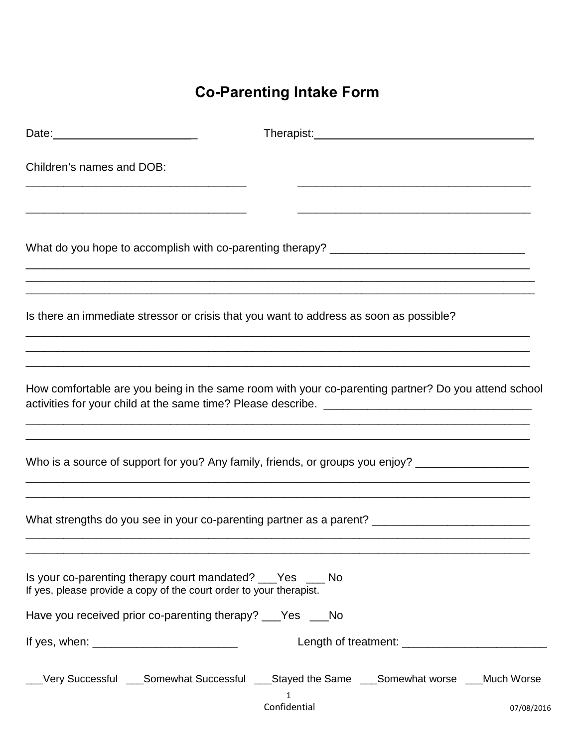## **Co-Parenting Intake Form**

|                                                                                                                                      | Therapist: Management Contract Contract Contract Contract Contract Contract Contract Contract Contract Contract Contract Contract Contract Contract Contract Contract Contract Contract Contract Contract Contract Contract Co |            |
|--------------------------------------------------------------------------------------------------------------------------------------|--------------------------------------------------------------------------------------------------------------------------------------------------------------------------------------------------------------------------------|------------|
| Children's names and DOB:                                                                                                            |                                                                                                                                                                                                                                |            |
|                                                                                                                                      |                                                                                                                                                                                                                                |            |
|                                                                                                                                      | Is there an immediate stressor or crisis that you want to address as soon as possible?                                                                                                                                         |            |
|                                                                                                                                      | How comfortable are you being in the same room with your co-parenting partner? Do you attend school                                                                                                                            |            |
|                                                                                                                                      | Who is a source of support for you? Any family, friends, or groups you enjoy? _____________________                                                                                                                            |            |
|                                                                                                                                      | What strengths do you see in your co-parenting partner as a parent? ________________________________                                                                                                                           |            |
| Is your co-parenting therapy court mandated? ____Yes _____ No<br>If yes, please provide a copy of the court order to your therapist. |                                                                                                                                                                                                                                |            |
| Have you received prior co-parenting therapy? ___Yes ___No                                                                           |                                                                                                                                                                                                                                |            |
|                                                                                                                                      |                                                                                                                                                                                                                                |            |
|                                                                                                                                      | ___Very Successful ___Somewhat Successful ___Stayed the Same ___Somewhat worse ___Much Worse<br>1<br>Confidential                                                                                                              | 07/08/2016 |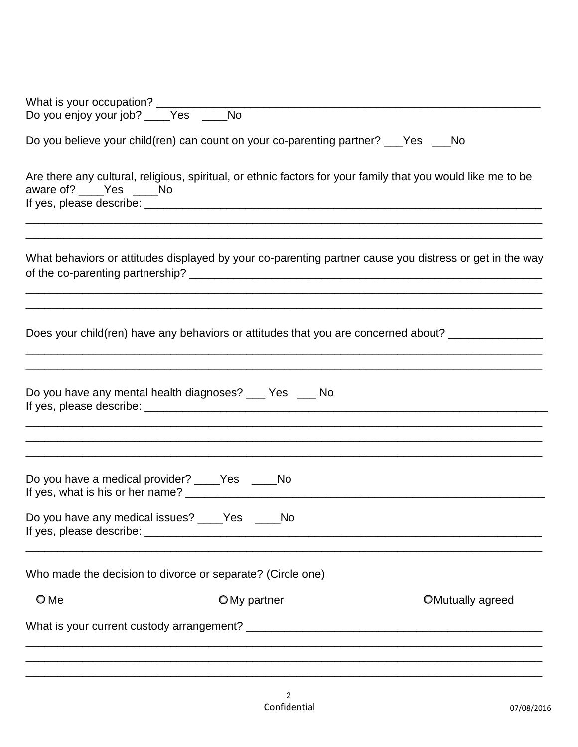| Do you believe your child(ren) can count on your co-parenting partner? ___Yes ___No |                                                                                                                                                                                                  |  |  |  |  |  |  |  |
|-------------------------------------------------------------------------------------|--------------------------------------------------------------------------------------------------------------------------------------------------------------------------------------------------|--|--|--|--|--|--|--|
| aware of? Yes No                                                                    | Are there any cultural, religious, spiritual, or ethnic factors for your family that you would like me to be<br>,我们也不能会在这里,我们的人们就会不能会在这里,我们也不能会不能会不能会不能会不能会不能会不能会不能会。""我们的人们就会不能会不能会不能会不能会不能会不能会 |  |  |  |  |  |  |  |
|                                                                                     | What behaviors or attitudes displayed by your co-parenting partner cause you distress or get in the way                                                                                          |  |  |  |  |  |  |  |
|                                                                                     | Does your child(ren) have any behaviors or attitudes that you are concerned about?                                                                                                               |  |  |  |  |  |  |  |
| Do you have any mental health diagnoses? ___ Yes ___ No                             |                                                                                                                                                                                                  |  |  |  |  |  |  |  |
| Do you have a medical provider? ____Yes _____No                                     |                                                                                                                                                                                                  |  |  |  |  |  |  |  |
| Do you have any medical issues? ____Yes ____No                                      |                                                                                                                                                                                                  |  |  |  |  |  |  |  |
| Who made the decision to divorce or separate? (Circle one)                          |                                                                                                                                                                                                  |  |  |  |  |  |  |  |
| $\bigcirc$ Me                                                                       | OMy partner<br>OMutually agreed                                                                                                                                                                  |  |  |  |  |  |  |  |
|                                                                                     |                                                                                                                                                                                                  |  |  |  |  |  |  |  |
|                                                                                     |                                                                                                                                                                                                  |  |  |  |  |  |  |  |